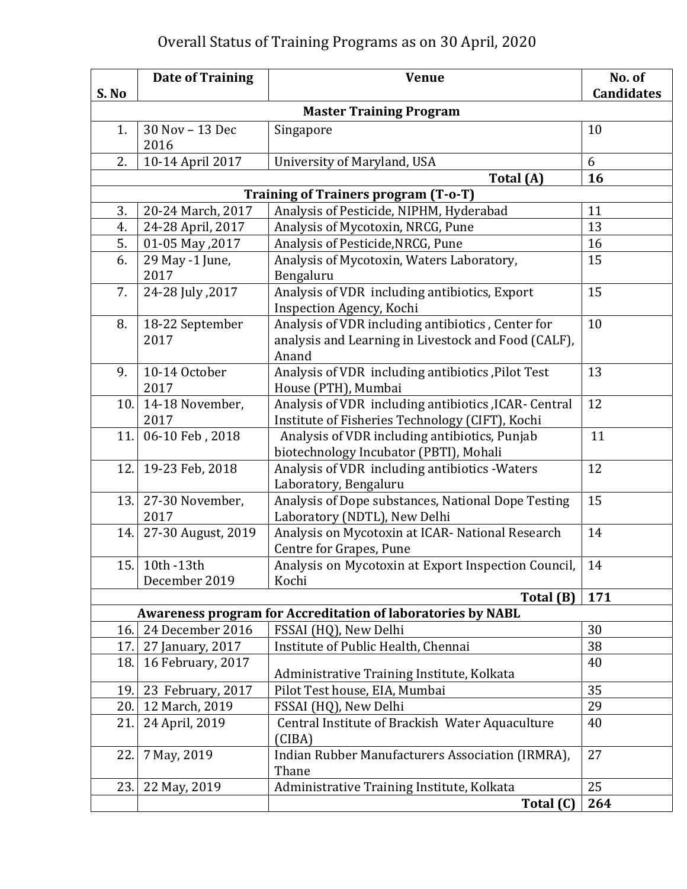## Overall Status of Training Programs as on 30 April, 2020

|          | <b>Date of Training</b>                | <b>Venue</b>                                                                    | No. of            |
|----------|----------------------------------------|---------------------------------------------------------------------------------|-------------------|
| S. No    |                                        |                                                                                 | <b>Candidates</b> |
|          |                                        | <b>Master Training Program</b>                                                  |                   |
| 1.       | 30 Nov - 13 Dec                        | Singapore                                                                       | 10                |
|          | 2016                                   |                                                                                 |                   |
| 2.       | 10-14 April 2017                       | University of Maryland, USA                                                     | 6                 |
|          |                                        | Total (A)                                                                       | 16                |
|          |                                        | Training of Trainers program (T-o-T)                                            |                   |
| 3.<br>4. | 20-24 March, 2017<br>24-28 April, 2017 | Analysis of Pesticide, NIPHM, Hyderabad<br>Analysis of Mycotoxin, NRCG, Pune    | 11<br>13          |
| 5.       | 01-05 May , 2017                       | Analysis of Pesticide, NRCG, Pune                                               | 16                |
| 6.       | 29 May -1 June,                        | Analysis of Mycotoxin, Waters Laboratory,                                       | 15                |
|          | 2017                                   | Bengaluru                                                                       |                   |
| 7.       | 24-28 July , 2017                      | Analysis of VDR including antibiotics, Export                                   | 15                |
|          |                                        | Inspection Agency, Kochi                                                        |                   |
| 8.       | 18-22 September                        | Analysis of VDR including antibiotics, Center for                               | 10                |
|          | 2017                                   | analysis and Learning in Livestock and Food (CALF),                             |                   |
|          |                                        | Anand                                                                           |                   |
| 9.       | 10-14 October                          | Analysis of VDR including antibiotics, Pilot Test                               | 13                |
|          | 2017                                   | House (PTH), Mumbai                                                             |                   |
| 10.      | 14-18 November,                        | Analysis of VDR including antibiotics , ICAR- Central                           | 12                |
|          | 2017                                   | Institute of Fisheries Technology (CIFT), Kochi                                 |                   |
| 11.      | 06-10 Feb, 2018                        | Analysis of VDR including antibiotics, Punjab                                   | 11                |
|          |                                        | biotechnology Incubator (PBTI), Mohali                                          |                   |
| 12.      | 19-23 Feb, 2018                        | Analysis of VDR including antibiotics - Waters                                  | 12                |
|          |                                        | Laboratory, Bengaluru                                                           |                   |
| 13.      | 27-30 November,                        | Analysis of Dope substances, National Dope Testing                              | 15                |
|          | 2017                                   | Laboratory (NDTL), New Delhi                                                    |                   |
| 14.      | 27-30 August, 2019                     | Analysis on Mycotoxin at ICAR- National Research                                | 14                |
|          |                                        | Centre for Grapes, Pune                                                         |                   |
| 15.      | 10th -13th                             | Analysis on Mycotoxin at Export Inspection Council,                             | 14                |
|          | December 2019                          | Kochi                                                                           | 171               |
|          |                                        | Total (B)<br><b>Awareness program for Accreditation of laboratories by NABL</b> |                   |
| 16.      | 24 December 2016                       | FSSAI (HQ), New Delhi                                                           | 30                |
| 17.      | 27 January, 2017                       | Institute of Public Health, Chennai                                             | 38                |
| 18.      | 16 February, 2017                      |                                                                                 | 40                |
|          |                                        | Administrative Training Institute, Kolkata                                      |                   |
| 19.      | 23 February, 2017                      | Pilot Test house, EIA, Mumbai                                                   | 35                |
| 20.      | 12 March, 2019                         | FSSAI (HQ), New Delhi                                                           | 29                |
| 21.      | 24 April, 2019                         | Central Institute of Brackish Water Aquaculture                                 | 40                |
|          |                                        | (CIBA)                                                                          |                   |
| 22.      | 7 May, 2019                            | Indian Rubber Manufacturers Association (IRMRA),                                | 27                |
|          |                                        | Thane                                                                           |                   |
| 23.      | 22 May, 2019                           | Administrative Training Institute, Kolkata                                      | 25                |
|          |                                        | Total (C)                                                                       | 264               |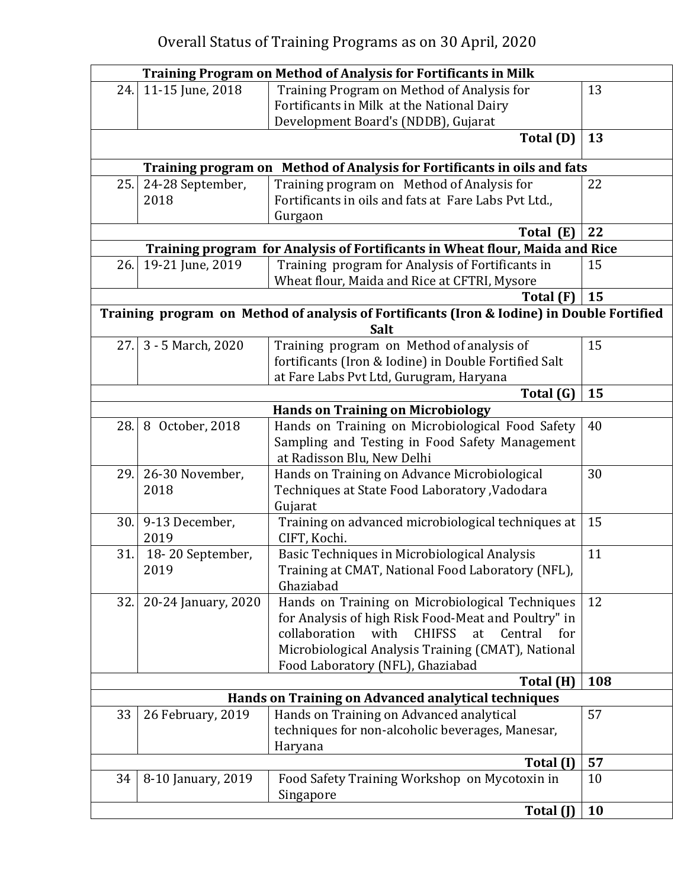| <b>Training Program on Method of Analysis for Fortificants in Milk</b> |                            |                                                                                                    |     |
|------------------------------------------------------------------------|----------------------------|----------------------------------------------------------------------------------------------------|-----|
| 24.                                                                    | 11-15 June, 2018           | Training Program on Method of Analysis for                                                         | 13  |
|                                                                        |                            | Fortificants in Milk at the National Dairy                                                         |     |
|                                                                        |                            | Development Board's (NDDB), Gujarat                                                                |     |
|                                                                        |                            | Total (D)                                                                                          | 13  |
|                                                                        | <b>Training program on</b> | Method of Analysis for Fortificants in oils and fats                                               |     |
| 25.                                                                    | 24-28 September,           | Training program on Method of Analysis for                                                         | 22  |
|                                                                        | 2018                       | Fortificants in oils and fats at Fare Labs Pvt Ltd.,                                               |     |
|                                                                        |                            | Gurgaon                                                                                            |     |
|                                                                        |                            | Total (E)                                                                                          | 22  |
|                                                                        |                            | Training program for Analysis of Fortificants in Wheat flour, Maida and Rice                       |     |
| 26.                                                                    | 19-21 June, 2019           | Training program for Analysis of Fortificants in                                                   | 15  |
|                                                                        |                            | Wheat flour, Maida and Rice at CFTRI, Mysore                                                       |     |
|                                                                        |                            | Total (F)                                                                                          | 15  |
|                                                                        |                            | Training program on Method of analysis of Fortificants (Iron & Iodine) in Double Fortified<br>Salt |     |
| 27.                                                                    | 3 - 5 March, 2020          | Training program on Method of analysis of                                                          | 15  |
|                                                                        |                            | fortificants (Iron & Iodine) in Double Fortified Salt                                              |     |
|                                                                        |                            | at Fare Labs Pvt Ltd, Gurugram, Haryana                                                            |     |
|                                                                        |                            | Total (G)                                                                                          | 15  |
|                                                                        |                            | <b>Hands on Training on Microbiology</b>                                                           |     |
| 28.                                                                    | 8 October, 2018            | Hands on Training on Microbiological Food Safety                                                   | 40  |
|                                                                        |                            | Sampling and Testing in Food Safety Management                                                     |     |
|                                                                        |                            | at Radisson Blu, New Delhi                                                                         |     |
| 29.                                                                    | 26-30 November,            | Hands on Training on Advance Microbiological                                                       | 30  |
|                                                                        | 2018                       | Techniques at State Food Laboratory , Vadodara                                                     |     |
|                                                                        |                            | Gujarat                                                                                            |     |
| 30.                                                                    | 9-13 December,<br>2019     | Training on advanced microbiological techniques at<br>CIFT, Kochi.                                 | 15  |
| 31.                                                                    | 18-20 September,           | Basic Techniques in Microbiological Analysis                                                       | 11  |
|                                                                        | 2019                       | Training at CMAT, National Food Laboratory (NFL),                                                  |     |
|                                                                        |                            | Ghaziabad                                                                                          |     |
| 32.                                                                    | 20-24 January, 2020        | Hands on Training on Microbiological Techniques                                                    | 12  |
|                                                                        |                            | for Analysis of high Risk Food-Meat and Poultry" in                                                |     |
|                                                                        |                            | collaboration<br>with<br><b>CHIFSS</b><br>at<br>Central<br>for                                     |     |
|                                                                        |                            | Microbiological Analysis Training (CMAT), National                                                 |     |
|                                                                        |                            | Food Laboratory (NFL), Ghaziabad                                                                   |     |
|                                                                        |                            | Total (H)                                                                                          | 108 |
|                                                                        |                            | Hands on Training on Advanced analytical techniques                                                | 57  |
| 33                                                                     | 26 February, 2019          | Hands on Training on Advanced analytical                                                           |     |
|                                                                        |                            | techniques for non-alcoholic beverages, Manesar,<br>Haryana                                        |     |
|                                                                        |                            | Total (I)                                                                                          | 57  |
| 34                                                                     |                            |                                                                                                    | 10  |
|                                                                        | 8-10 January, 2019         | Food Safety Training Workshop on Mycotoxin in<br>Singapore                                         |     |
|                                                                        |                            | Total (J)                                                                                          | 10  |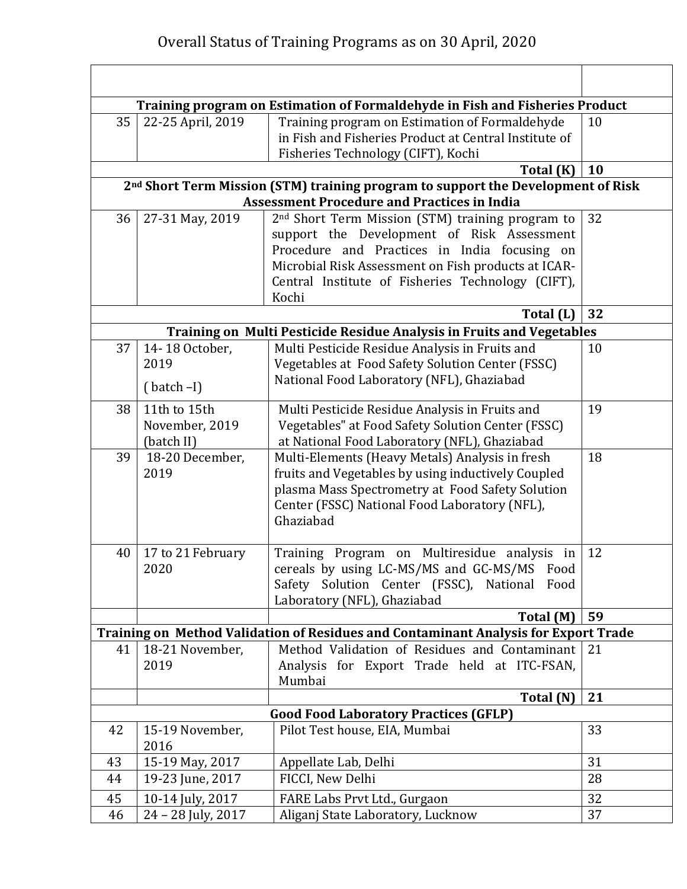|    |                    | Training program on Estimation of Formaldehyde in Fish and Fisheries Product                                                                       |    |
|----|--------------------|----------------------------------------------------------------------------------------------------------------------------------------------------|----|
| 35 | 22-25 April, 2019  | Training program on Estimation of Formaldehyde<br>in Fish and Fisheries Product at Central Institute of<br>Fisheries Technology (CIFT), Kochi      | 10 |
|    |                    | Total (K)                                                                                                                                          | 10 |
|    |                    | 2 <sup>nd</sup> Short Term Mission (STM) training program to support the Development of Risk<br><b>Assessment Procedure and Practices in India</b> |    |
| 36 | 27-31 May, 2019    | 2 <sup>nd</sup> Short Term Mission (STM) training program to                                                                                       | 32 |
|    |                    | support the Development of Risk Assessment                                                                                                         |    |
|    |                    | Procedure and Practices in India focusing on                                                                                                       |    |
|    |                    | Microbial Risk Assessment on Fish products at ICAR-                                                                                                |    |
|    |                    | Central Institute of Fisheries Technology (CIFT),                                                                                                  |    |
|    |                    | Kochi                                                                                                                                              |    |
|    |                    | Total (L)                                                                                                                                          | 32 |
|    |                    | Training on Multi Pesticide Residue Analysis in Fruits and Vegetables                                                                              |    |
| 37 | 14-18 October,     | Multi Pesticide Residue Analysis in Fruits and                                                                                                     | 10 |
|    | 2019               | Vegetables at Food Safety Solution Center (FSSC)                                                                                                   |    |
|    | $(batch-I)$        | National Food Laboratory (NFL), Ghaziabad                                                                                                          |    |
| 38 | 11th to 15th       | Multi Pesticide Residue Analysis in Fruits and                                                                                                     | 19 |
|    | November, 2019     | Vegetables" at Food Safety Solution Center (FSSC)                                                                                                  |    |
|    | (batch II)         | at National Food Laboratory (NFL), Ghaziabad                                                                                                       |    |
| 39 | 18-20 December,    | Multi-Elements (Heavy Metals) Analysis in fresh                                                                                                    | 18 |
|    | 2019               | fruits and Vegetables by using inductively Coupled                                                                                                 |    |
|    |                    | plasma Mass Spectrometry at Food Safety Solution                                                                                                   |    |
|    |                    | Center (FSSC) National Food Laboratory (NFL),                                                                                                      |    |
|    |                    | Ghaziabad                                                                                                                                          |    |
| 40 | 17 to 21 February  | Training Program on Multiresidue analysis in                                                                                                       | 12 |
|    | 2020               | cereals by using LC-MS/MS and GC-MS/MS Food                                                                                                        |    |
|    |                    | Safety Solution Center (FSSC), National Food                                                                                                       |    |
|    |                    | Laboratory (NFL), Ghaziabad                                                                                                                        |    |
|    |                    | Total (M)                                                                                                                                          | 59 |
|    |                    | Training on Method Validation of Residues and Contaminant Analysis for Export Trade                                                                |    |
| 41 | 18-21 November,    | Method Validation of Residues and Contaminant                                                                                                      | 21 |
|    | 2019               | Analysis for Export Trade held at ITC-FSAN,                                                                                                        |    |
|    |                    | Mumbai                                                                                                                                             |    |
|    |                    | Total (N)                                                                                                                                          | 21 |
| 42 | 15-19 November,    | <b>Good Food Laboratory Practices (GFLP)</b><br>Pilot Test house, EIA, Mumbai                                                                      | 33 |
|    | 2016               |                                                                                                                                                    |    |
| 43 | 15-19 May, 2017    | Appellate Lab, Delhi                                                                                                                               | 31 |
| 44 | 19-23 June, 2017   | FICCI, New Delhi                                                                                                                                   | 28 |
| 45 | 10-14 July, 2017   | FARE Labs Prvt Ltd., Gurgaon                                                                                                                       | 32 |
| 46 | 24 - 28 July, 2017 | Aliganj State Laboratory, Lucknow                                                                                                                  | 37 |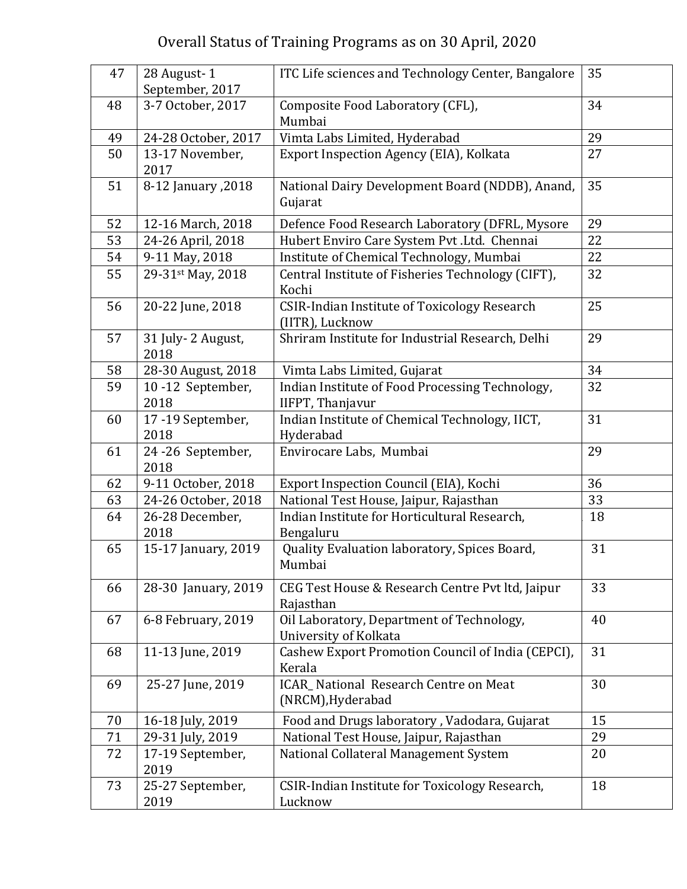## Overall Status of Training Programs as on 30 April, 2020

| 47 | 28 August-1<br>September, 2017 | ITC Life sciences and Technology Center, Bangalore                     | 35 |
|----|--------------------------------|------------------------------------------------------------------------|----|
| 48 | 3-7 October, 2017              | Composite Food Laboratory (CFL),<br>Mumbai                             | 34 |
| 49 | 24-28 October, 2017            | Vimta Labs Limited, Hyderabad                                          | 29 |
| 50 | 13-17 November,<br>2017        | Export Inspection Agency (EIA), Kolkata                                | 27 |
| 51 | 8-12 January , 2018            | National Dairy Development Board (NDDB), Anand,<br>Gujarat             | 35 |
| 52 | 12-16 March, 2018              | Defence Food Research Laboratory (DFRL, Mysore                         | 29 |
| 53 | 24-26 April, 2018              | Hubert Enviro Care System Pvt.Ltd. Chennai                             | 22 |
| 54 | 9-11 May, 2018                 | Institute of Chemical Technology, Mumbai                               | 22 |
| 55 | 29-31st May, 2018              | Central Institute of Fisheries Technology (CIFT),<br>Kochi             | 32 |
| 56 | 20-22 June, 2018               | <b>CSIR-Indian Institute of Toxicology Research</b><br>(IITR), Lucknow | 25 |
| 57 | 31 July-2 August,<br>2018      | Shriram Institute for Industrial Research, Delhi                       | 29 |
| 58 | 28-30 August, 2018             | Vimta Labs Limited, Gujarat                                            | 34 |
| 59 | 10-12 September,<br>2018       | Indian Institute of Food Processing Technology,<br>IIFPT, Thanjavur    | 32 |
| 60 | 17-19 September,<br>2018       | Indian Institute of Chemical Technology, IICT,<br>Hyderabad            | 31 |
| 61 | 24-26 September,<br>2018       | Envirocare Labs, Mumbai                                                | 29 |
| 62 | 9-11 October, 2018             | Export Inspection Council (EIA), Kochi                                 | 36 |
| 63 | 24-26 October, 2018            | National Test House, Jaipur, Rajasthan                                 | 33 |
| 64 | 26-28 December,<br>2018        | Indian Institute for Horticultural Research,<br>Bengaluru              | 18 |
| 65 | 15-17 January, 2019            | Quality Evaluation laboratory, Spices Board,<br>Mumbai                 | 31 |
| 66 | 28-30 January, 2019            | CEG Test House & Research Centre Pvt ltd, Jaipur<br>Rajasthan          | 33 |
| 67 | 6-8 February, 2019             | Oil Laboratory, Department of Technology,<br>University of Kolkata     | 40 |
| 68 | 11-13 June, 2019               | Cashew Export Promotion Council of India (CEPCI),<br>Kerala            | 31 |
| 69 | 25-27 June, 2019               | ICAR_National Research Centre on Meat<br>(NRCM), Hyderabad             | 30 |
| 70 | 16-18 July, 2019               | Food and Drugs laboratory, Vadodara, Gujarat                           | 15 |
| 71 | 29-31 July, 2019               | National Test House, Jaipur, Rajasthan                                 | 29 |
| 72 | 17-19 September,<br>2019       | National Collateral Management System                                  | 20 |
| 73 | 25-27 September,<br>2019       | CSIR-Indian Institute for Toxicology Research,<br>Lucknow              | 18 |